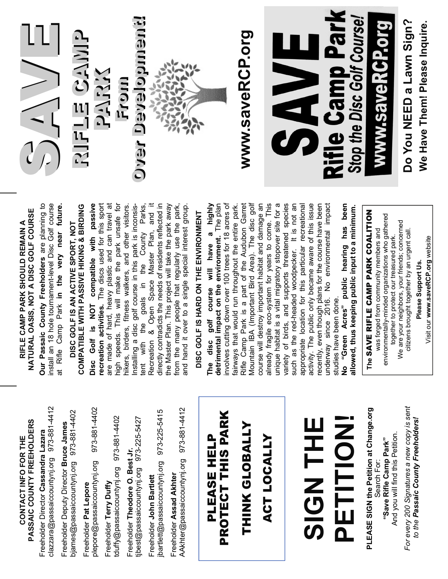

### NATURAL OASIS, NOT A DISC GOLF COURSE **NATURAL OASIS, NOT A DISC GOLF COURSE**  RIFLE CAMP PARK SHOULD REMAIN A **RIFLE CAMP PARK SHOULD REMAIN A**

**CONTACT INFO FOR THE PASSAIC COUNTY FREEHOLDERS** 

CONTACT INFO FOR THE

PASSAIC COUNTY FREEHOLDERS

Freeholder Director **Cassandra Lazara** 

Freeholder Director Cassandra Lazara

clazzara@passaiccountynj.org 973-881-4412

clazzara@passaiccountynj.org 973-881-4412

Freeholder Deputy Director **Bruce James**  bjames@passaiccountynj.org 973-881-4402

Freeholder Deputy Director Bruce James

ojames@passaiccountynj.org 973-881-4402

Freeholder **Pat Lepore**

Freeholder Pat Lepore

plepore@passaiccountynj.org 973-881-4402

plepore@passaiccountynj.org

973-881-4402

Freeholder **Terry Duffy**

Freeholder Terry Duffy

tduffy@passaiccountynj.org 973-881-4402

duffy@passaiccountynj.org 973-881-4402

Freeholder **Theodore O. Best Jr.**

Freeholder Theodore O. Best Jr.

tjbest@passaiccountynj.org 973-225-5427

jbest@passaiccountynj.org 973-225-5427

Freeholder **John Bartlett**

Freeholder John Bartlett

jbartlett@passaiccountynj.org 973-225-5415

bartlett@passaiccountynj.org 973-225-5415

Freeholder **Assad Akhter**

Freeholder Assad Akhter

AAkhter@passaiccountynj.org 973-881-4412

AAkhter@passaiccountynj.org 973-881-4412

PLEASE HELP PROTECT THIS PARK

PLEASE HELP

PROTECT THIS PARK

THINK GLOBALLY

THINK GLOBALLY

ACT LOCALLY

ACT LOCALLY

Our Passaic County Freeholders are planning to **Our Passaic County Freeholders** are planning to install an 18 hole tournament-level Disc Golf course at Rifle Camp Park **in the very near future.**  install an 18 hole tournament-level Disc Golf course at Rifle Camp Park in the very near future.

### **COMPATIBLE WITH PASSIVE HIKING & BIRDING**  COMPATIBLE WITH PASSIVE HIKING & BIRDING **DISC GOLF IS AN ACTIVE SPORT, NOT**  DISC GOLF IS AN ACTIVE SPORT, NOT

**Disc Golf is NOT compatible with passive recreation activities.** The discs used for this sport are made of hard, heavy plastic and can travel at are made of hard, heavy plastic and can travel at high speeds. This will make the park unsafe for hikers, birders, fitness walkers, and other visitors. tent with the goals in the County Parks, Recreation & Open Space Master Plan, and it directly contradicts the needs of residents reflected in the Master Plan. This project will take the park away the Master Plan. This project will take the park away from the many people that regularly use the park, and hand it over to a single special interest group. Disc Golf is NOT compatible with passive recreation activities. The discs used for this sport high speeds. This will make the park unsafe for hikers, birders, fitness walkers, and other visitors. Installing a disc golf course in this park is inconsisgoals in the County Parks, Recreation & Open Space Master Plan, and it directly contradicts the needs of residents reflected in from the many people that regularly use the park, Installing a disc golf course in this park is inconsisand hand it over to a single special interest group. tent with the

## **DISC GOLF IS HARD ON THE ENVIRONMENT**  DISC GOLF IS HARD ON THE ENVIRONMENT

The disc golf course will have a highly<br>detrimental impact on the environment. The plan **The disc golf course will have a highly detrimental impact on the environment.** The plan involves cutting down over 100 trees for 18 acres of fairways that would run throughout the entire park. Rifle Camp Park is a part of the Audubon Garret Mountain IBA (Important Bird Area). The disc golf Mountain IBA (Important Bird Area). The disc golf course will destroy important habitat and damage an already fragile eco-system for years to come. This unique habitat is a vital migratory stopover site for a variety of birds, and supports threatened species such as the red-headed woodpecker. It is not an appropriate location for this particular recreational activity. The public only became aware of this issue recently, even though plans for the course have been underway since 2016. No environmental impact involves cutting down over 100 trees for 18 acres of fairways that would run throughout the entire park. Rifle Camp Park is a part of the Audubon Garret course will destroy important habitat and damage an already fragile eco-system for years to come. This unique habitat is a vital migratory stopover site for a variety of birds, and supports threatened species such as the red-headed woodpecker. It is not an appropriate location for this particular recreational activity. The public only became aware of this issue recently, even though plans for the course have been underway since 2016. No environmental impact studies have been done. studies have been done.

**No "Green Acres" public hearing has been**  No "Green Acres" public hearing has been **allowed, thus keeping public input to a minimum.**  allowed, thus keeping public input to a minimum.

**SIGN THE** 

**HHH ZOIS** 

**PETITION!**

PETITION!

**PLEASE SIGN the Petition at Change.org**  Search For:

Search For:

PLEASE SIGN the Petition at Change.org

# The SAVE RIFLE CAMP PARK COALITION **The** SAVE RIFLE CAMP PARK COALITION

environmentally-minded organizations who gathered environmentally-minded organizations who gathered We are your neighbors, your friends; concerned We are your neighbors, your friends; concerned citizens brought together by an urgent call. was forged from community members and was forged from community members and citizens brought together by an urgent call together to protect our treasured park. together to protect our treasured park.

Visit our www.saveRCP.org website Visit our **www.saveRCP.org** website Please Support Us. **Please Support Us.**

And you will find this Petition. And you will find this Petition. **"Save Rifle Camp Park"**  "Save Rifle Camp Park"

For every 200 Signatures a new copy is sent *For every 200 Signatures a new copy is sent*  to the Passaic County Freeholders!  *to the Passaic County Freeholders!*